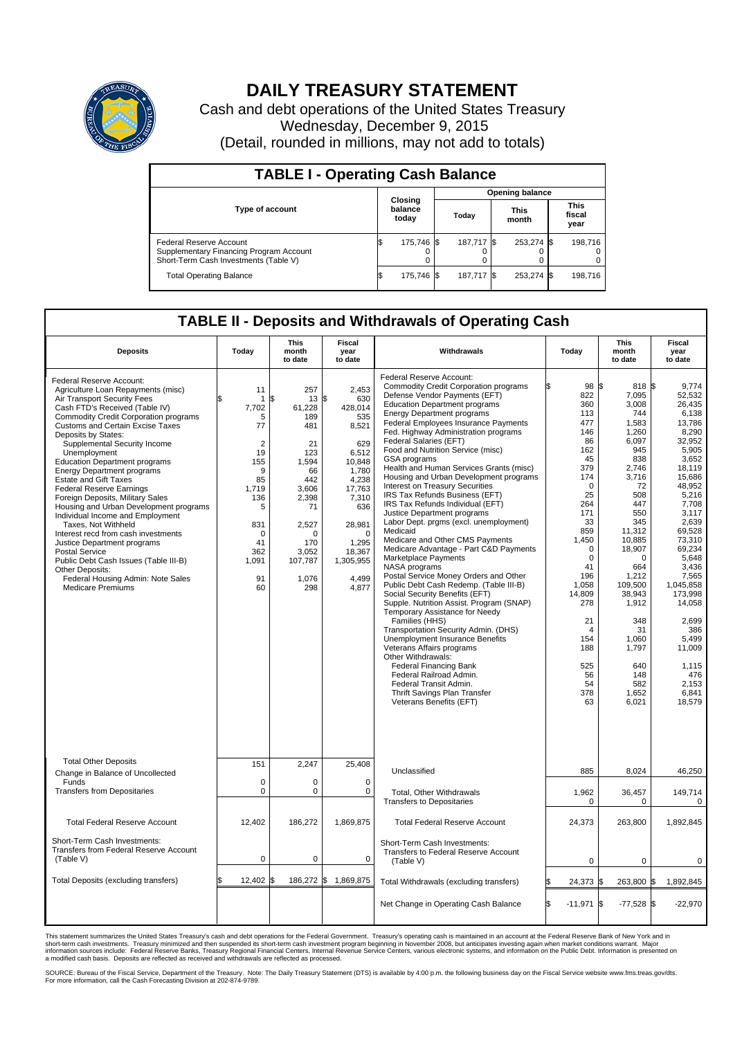

## **DAILY TREASURY STATEMENT**

Cash and debt operations of the United States Treasury Wednesday, December 9, 2015 (Detail, rounded in millions, may not add to totals)

| <b>TABLE I - Operating Cash Balance</b>                                                                     |                             |            |                        |             |                      |            |                               |         |  |  |  |
|-------------------------------------------------------------------------------------------------------------|-----------------------------|------------|------------------------|-------------|----------------------|------------|-------------------------------|---------|--|--|--|
|                                                                                                             | Closing<br>balance<br>today |            | <b>Opening balance</b> |             |                      |            |                               |         |  |  |  |
| <b>Type of account</b>                                                                                      |                             |            | Today                  |             | <b>This</b><br>month |            | <b>This</b><br>fiscal<br>year |         |  |  |  |
| Federal Reserve Account<br>Supplementary Financing Program Account<br>Short-Term Cash Investments (Table V) |                             | 175.746 \$ |                        | 187.717 \\$ |                      | 253,274 \$ |                               | 198.716 |  |  |  |
| <b>Total Operating Balance</b>                                                                              | I\$                         | 175,746 \$ |                        | 187,717 \$  |                      | 253,274 \$ |                               | 198,716 |  |  |  |

## **TABLE II - Deposits and Withdrawals of Operating Cash**

| <b>Deposits</b>                                                                                                                                                                                                                                                                                                                                                                                                                                                                                                                                                                                                                                                                                                                                                                                                 | Today                                                                                                                                               | <b>This</b><br>month<br>to date                                                                                                                             | <b>Fiscal</b><br>year<br>to date                                                                                                                                                            | Withdrawals                                                                                                                                                                                                                                                                                                                                                                                                                                                                                                                                                                                                                                                                                                                                                                                                                                                                                                                                                                                                                                                                                                                                                                                                                                                                      | Today                                                                                                                                                                                                                                                                              | <b>This</b><br>month<br>to date                                                                                                                                                                                                                                                     | <b>Fiscal</b><br>year<br>to date                                                                                                                                                                                                                                                                                              |  |  |
|-----------------------------------------------------------------------------------------------------------------------------------------------------------------------------------------------------------------------------------------------------------------------------------------------------------------------------------------------------------------------------------------------------------------------------------------------------------------------------------------------------------------------------------------------------------------------------------------------------------------------------------------------------------------------------------------------------------------------------------------------------------------------------------------------------------------|-----------------------------------------------------------------------------------------------------------------------------------------------------|-------------------------------------------------------------------------------------------------------------------------------------------------------------|---------------------------------------------------------------------------------------------------------------------------------------------------------------------------------------------|----------------------------------------------------------------------------------------------------------------------------------------------------------------------------------------------------------------------------------------------------------------------------------------------------------------------------------------------------------------------------------------------------------------------------------------------------------------------------------------------------------------------------------------------------------------------------------------------------------------------------------------------------------------------------------------------------------------------------------------------------------------------------------------------------------------------------------------------------------------------------------------------------------------------------------------------------------------------------------------------------------------------------------------------------------------------------------------------------------------------------------------------------------------------------------------------------------------------------------------------------------------------------------|------------------------------------------------------------------------------------------------------------------------------------------------------------------------------------------------------------------------------------------------------------------------------------|-------------------------------------------------------------------------------------------------------------------------------------------------------------------------------------------------------------------------------------------------------------------------------------|-------------------------------------------------------------------------------------------------------------------------------------------------------------------------------------------------------------------------------------------------------------------------------------------------------------------------------|--|--|
| Federal Reserve Account:<br>Agriculture Loan Repayments (misc)<br>Air Transport Security Fees<br>Cash FTD's Received (Table IV)<br><b>Commodity Credit Corporation programs</b><br><b>Customs and Certain Excise Taxes</b><br>Deposits by States:<br>Supplemental Security Income<br>Unemployment<br><b>Education Department programs</b><br><b>Energy Department programs</b><br><b>Estate and Gift Taxes</b><br><b>Federal Reserve Earnings</b><br>Foreign Deposits, Military Sales<br>Housing and Urban Development programs<br>Individual Income and Employment<br>Taxes. Not Withheld<br>Interest recd from cash investments<br>Justice Department programs<br>Postal Service<br>Public Debt Cash Issues (Table III-B)<br>Other Deposits:<br>Federal Housing Admin: Note Sales<br><b>Medicare Premiums</b> | 11<br>-1<br>7,702<br>5<br>77<br>$\overline{2}$<br>19<br>155<br>9<br>85<br>1,719<br>136<br>5<br>831<br>$\mathbf 0$<br>41<br>362<br>1,091<br>91<br>60 | 257<br>\$<br>13<br>61,228<br>189<br>481<br>21<br>123<br>1,594<br>66<br>442<br>3,606<br>2,398<br>71<br>2,527<br>n<br>170<br>3,052<br>107,787<br>1,076<br>298 | 2.453<br>S.<br>630<br>428,014<br>535<br>8,521<br>629<br>6.512<br>10,848<br>1.780<br>4,238<br>17,763<br>7,310<br>636<br>28,981<br>$\Omega$<br>1,295<br>18,367<br>1,305,955<br>4,499<br>4,877 | Federal Reserve Account:<br><b>Commodity Credit Corporation programs</b><br>Defense Vendor Payments (EFT)<br><b>Education Department programs</b><br><b>Energy Department programs</b><br><b>Federal Employees Insurance Payments</b><br>Fed. Highway Administration programs<br>Federal Salaries (EFT)<br>Food and Nutrition Service (misc)<br><b>GSA</b> programs<br>Health and Human Services Grants (misc)<br>Housing and Urban Development programs<br>Interest on Treasury Securities<br>IRS Tax Refunds Business (EFT)<br>IRS Tax Refunds Individual (EFT)<br>Justice Department programs<br>Labor Dept. prgms (excl. unemployment)<br>Medicaid<br>Medicare and Other CMS Payments<br>Medicare Advantage - Part C&D Payments<br>Marketplace Payments<br>NASA programs<br>Postal Service Money Orders and Other<br>Public Debt Cash Redemp. (Table III-B)<br>Social Security Benefits (EFT)<br>Supple. Nutrition Assist. Program (SNAP)<br>Temporary Assistance for Needy<br>Families (HHS)<br>Transportation Security Admin. (DHS)<br>Unemployment Insurance Benefits<br>Veterans Affairs programs<br>Other Withdrawals:<br><b>Federal Financing Bank</b><br>Federal Railroad Admin.<br>Federal Transit Admin.<br>Thrift Savings Plan Transfer<br>Veterans Benefits (EFT) | 98 \$<br>ß<br>822<br>360<br>113<br>477<br>146<br>86<br>162<br>45<br>379<br>174<br>$\mathbf 0$<br>25<br>264<br>171<br>33<br>859<br>1,450<br>$\mathbf 0$<br>$\mathbf 0$<br>41<br>196<br>1,058<br>14,809<br>278<br>21<br>$\overline{4}$<br>154<br>188<br>525<br>56<br>54<br>378<br>63 | 818 \$<br>7,095<br>3,008<br>744<br>1,583<br>1,260<br>6,097<br>945<br>838<br>2,746<br>3,716<br>72<br>508<br>447<br>550<br>345<br>11,312<br>10,885<br>18,907<br>0<br>664<br>1,212<br>109,500<br>38,943<br>1,912<br>348<br>31<br>1,060<br>1,797<br>640<br>148<br>582<br>1,652<br>6,021 | 9,774<br>52,532<br>26.435<br>6,138<br>13,786<br>8,290<br>32,952<br>5,905<br>3.652<br>18,119<br>15,686<br>48,952<br>5,216<br>7,708<br>3.117<br>2,639<br>69,528<br>73,310<br>69,234<br>5,648<br>3,436<br>7,565<br>1,045,858<br>173.998<br>14,058<br>2.699<br>386<br>5,499<br>11,009<br>1,115<br>476<br>2,153<br>6.841<br>18,579 |  |  |
| <b>Total Other Deposits</b><br>Change in Balance of Uncollected                                                                                                                                                                                                                                                                                                                                                                                                                                                                                                                                                                                                                                                                                                                                                 | 151                                                                                                                                                 | 2,247                                                                                                                                                       | 25,408                                                                                                                                                                                      | Unclassified                                                                                                                                                                                                                                                                                                                                                                                                                                                                                                                                                                                                                                                                                                                                                                                                                                                                                                                                                                                                                                                                                                                                                                                                                                                                     | 885                                                                                                                                                                                                                                                                                | 8,024                                                                                                                                                                                                                                                                               | 46,250                                                                                                                                                                                                                                                                                                                        |  |  |
| Funds<br><b>Transfers from Depositaries</b>                                                                                                                                                                                                                                                                                                                                                                                                                                                                                                                                                                                                                                                                                                                                                                     | $\mathbf 0$<br>$\mathbf 0$                                                                                                                          | 0<br>0                                                                                                                                                      | $\mathbf 0$<br>$\mathbf 0$                                                                                                                                                                  | Total, Other Withdrawals<br><b>Transfers to Depositaries</b>                                                                                                                                                                                                                                                                                                                                                                                                                                                                                                                                                                                                                                                                                                                                                                                                                                                                                                                                                                                                                                                                                                                                                                                                                     | 1,962<br>0                                                                                                                                                                                                                                                                         | 36,457<br>$\Omega$                                                                                                                                                                                                                                                                  | 149,714<br>$\mathbf 0$                                                                                                                                                                                                                                                                                                        |  |  |
| <b>Total Federal Reserve Account</b>                                                                                                                                                                                                                                                                                                                                                                                                                                                                                                                                                                                                                                                                                                                                                                            | 12,402                                                                                                                                              | 186,272                                                                                                                                                     | 1,869,875                                                                                                                                                                                   | <b>Total Federal Reserve Account</b>                                                                                                                                                                                                                                                                                                                                                                                                                                                                                                                                                                                                                                                                                                                                                                                                                                                                                                                                                                                                                                                                                                                                                                                                                                             | 24,373                                                                                                                                                                                                                                                                             | 263,800                                                                                                                                                                                                                                                                             | 1,892,845                                                                                                                                                                                                                                                                                                                     |  |  |
| Short-Term Cash Investments:<br>Transfers from Federal Reserve Account<br>(Table V)                                                                                                                                                                                                                                                                                                                                                                                                                                                                                                                                                                                                                                                                                                                             | $\pmb{0}$                                                                                                                                           | 0                                                                                                                                                           | 0                                                                                                                                                                                           | Short-Term Cash Investments:<br>Transfers to Federal Reserve Account<br>(Table V)                                                                                                                                                                                                                                                                                                                                                                                                                                                                                                                                                                                                                                                                                                                                                                                                                                                                                                                                                                                                                                                                                                                                                                                                | 0                                                                                                                                                                                                                                                                                  | 0                                                                                                                                                                                                                                                                                   | 0                                                                                                                                                                                                                                                                                                                             |  |  |
| Total Deposits (excluding transfers)                                                                                                                                                                                                                                                                                                                                                                                                                                                                                                                                                                                                                                                                                                                                                                            | 12,402                                                                                                                                              | 186,272 \$                                                                                                                                                  | 1,869,875                                                                                                                                                                                   | Total Withdrawals (excluding transfers)                                                                                                                                                                                                                                                                                                                                                                                                                                                                                                                                                                                                                                                                                                                                                                                                                                                                                                                                                                                                                                                                                                                                                                                                                                          | 24,373 \$                                                                                                                                                                                                                                                                          | 263,800 \$                                                                                                                                                                                                                                                                          | 1,892,845                                                                                                                                                                                                                                                                                                                     |  |  |
|                                                                                                                                                                                                                                                                                                                                                                                                                                                                                                                                                                                                                                                                                                                                                                                                                 |                                                                                                                                                     |                                                                                                                                                             |                                                                                                                                                                                             | Net Change in Operating Cash Balance                                                                                                                                                                                                                                                                                                                                                                                                                                                                                                                                                                                                                                                                                                                                                                                                                                                                                                                                                                                                                                                                                                                                                                                                                                             | l\$<br>$-11,971$ \$                                                                                                                                                                                                                                                                | $-77,528$ \$                                                                                                                                                                                                                                                                        | $-22,970$                                                                                                                                                                                                                                                                                                                     |  |  |

This statement summarizes the United States Treasury's cash and debt operations for the Federal Government. Treasury's operating cash is maintained in an account at the Federal Reserve Bank of New York and in<br>short-term ca

SOURCE: Bureau of the Fiscal Service, Department of the Treasury. Note: The Daily Treasury Statement (DTS) is available by 4:00 p.m. the following business day on the Fiscal Service website www.fms.treas.gov/dts.<br>For more